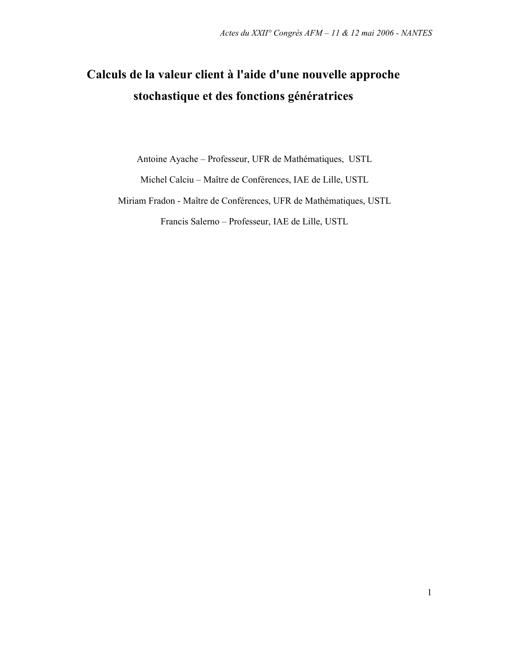# Calculs de la valeur client à l'aide d'une nouvelle approche stochastique et des fonctions génératrices

Antoine Ayache - Professeur, UFR de Mathématiques, USTL

Michel Calciu - Maître de Conférences, IAE de Lille, USTL

Miriam Fradon - Maître de Conférences, UFR de Mathématiques, USTL Francis Salerno - Professeur, IAE de Lille, USTL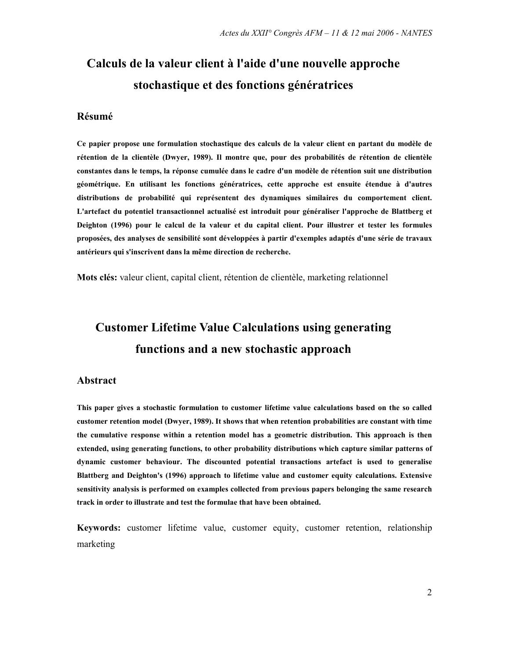# Calculs de la valeur client à l'aide d'une nouvelle approche stochastique et des fonctions génératrices

### Résumé

Ce papier propose une formulation stochastique des calculs de la valeur client en partant du modèle de rétention de la clientèle (Dwyer, 1989). Il montre que, pour des probabilités de rétention de clientèle constantes dans le temps, la réponse cumulée dans le cadre d'un modèle de rétention suit une distribution géométrique. En utilisant les fonctions génératrices, cette approche est ensuite étendue à d'autres distributions de probabilité qui représentent des dynamiques similaires du comportement client. L'artefact du potentiel transactionnel actualisé est introduit pour généraliser l'approche de Blattberg et Deighton (1996) pour le calcul de la valeur et du capital client. Pour illustrer et tester les formules proposées, des analyses de sensibilité sont développées à partir d'exemples adaptés d'une série de travaux antérieurs qui s'inscrivent dans la même direction de recherche.

Mots clés: valeur client, capital client, rétention de clientèle, marketing relationnel

# **Customer Lifetime Value Calculations using generating** functions and a new stochastic approach

### **Abstract**

This paper gives a stochastic formulation to customer lifetime value calculations based on the so called customer retention model (Dwyer, 1989). It shows that when retention probabilities are constant with time the cumulative response within a retention model has a geometric distribution. This approach is then extended, using generating functions, to other probability distributions which capture similar patterns of dynamic customer behaviour. The discounted potential transactions artefact is used to generalise Blattberg and Deighton's (1996) approach to lifetime value and customer equity calculations. Extensive sensitivity analysis is performed on examples collected from previous papers belonging the same research track in order to illustrate and test the formulae that have been obtained.

Keywords: customer lifetime value, customer equity, customer retention, relationship marketing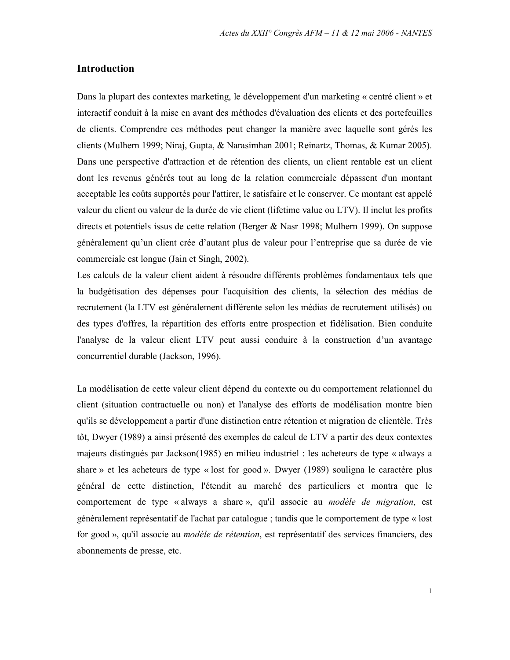### **Introduction**

Dans la plupart des contextes marketing, le développement d'un marketing « centré client » et interactif conduit à la mise en avant des méthodes d'évaluation des clients et des portefeuilles de clients. Comprendre ces méthodes peut changer la manière avec laquelle sont gérés les clients (Mulhern 1999; Niraj, Gupta, & Narasimhan 2001; Reinartz, Thomas, & Kumar 2005). Dans une perspective d'attraction et de rétention des clients, un client rentable est un client dont les revenus générés tout au long de la relation commerciale dépassent d'un montant acceptable les coûts supportés pour l'attirer, le satisfaire et le conserver. Ce montant est appelé valeur du client ou valeur de la durée de vie client (lifetime value ou LTV). Il inclut les profits directs et potentiels issus de cette relation (Berger & Nasr 1998; Mulhern 1999). On suppose généralement qu'un client crée d'autant plus de valeur pour l'entreprise que sa durée de vie commerciale est longue (Jain et Singh, 2002).

Les calculs de la valeur client aident à résoudre différents problèmes fondamentaux tels que la budgétisation des dépenses pour l'acquisition des clients, la sélection des médias de recrutement (la LTV est généralement différente selon les médias de recrutement utilisés) ou des types d'offres, la répartition des efforts entre prospection et fidélisation. Bien conduite l'analyse de la valeur client LTV peut aussi conduire à la construction d'un avantage concurrentiel durable (Jackson, 1996).

La modélisation de cette valeur client dépend du contexte ou du comportement relationnel du client (situation contractuelle ou non) et l'analyse des efforts de modélisation montre bien qu'ils se développement a partir d'une distinction entre rétention et migration de clientèle. Très tôt, Dwyer (1989) a ainsi présenté des exemples de calcul de LTV a partir des deux contextes majeurs distingués par Jackson(1985) en milieu industriel : les acheteurs de type « always a share » et les acheteurs de type « lost for good ». Dwyer (1989) souligna le caractère plus général de cette distinction, l'étendit au marché des particuliers et montra que le comportement de type « always a share », qu'il associe au *modèle de migration*, est généralement représentatif de l'achat par catalogue ; tandis que le comportement de type « lost for good », qu'il associe au *modèle de rétention*, est représentatif des services financiers, des abonnements de presse, etc.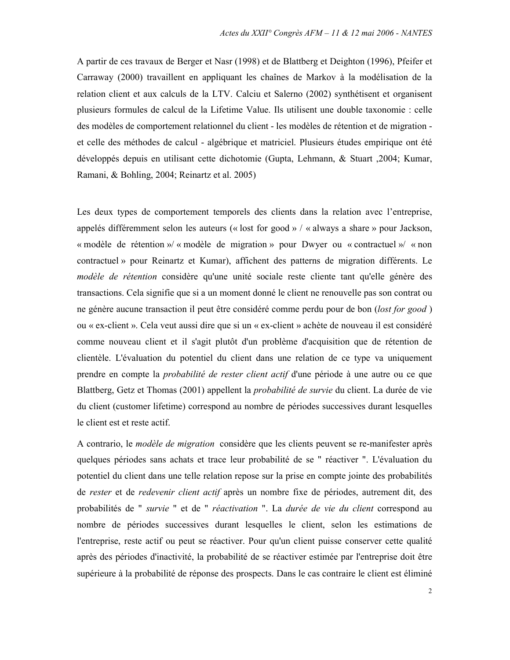A partir de ces travaux de Berger et Nasr (1998) et de Blattberg et Deighton (1996), Pfeifer et Carraway (2000) travaillent en appliquant les chaînes de Markov à la modélisation de la relation client et aux calculs de la LTV. Calciu et Salerno (2002) synthétisent et organisent plusieurs formules de calcul de la Lifetime Value. Ils utilisent une double taxonomie : celle des modèles de comportement relationnel du client - les modèles de rétention et de migration et celle des méthodes de calcul - algébrique et matriciel. Plusieurs études empirique ont été développés depuis en utilisant cette dichotomie (Gupta, Lehmann, & Stuart, 2004; Kumar, Ramani, & Bohling, 2004; Reinartz et al. 2005)

Les deux types de comportement temporels des clients dans la relation avec l'entreprise, appelés différemment selon les auteurs (« lost for good » / « always a share » pour Jackson, « modèle de rétention »/ « modèle de migration » pour Dwyer ou « contractuel »/ « non contractuel » pour Reinartz et Kumar), affichent des patterns de migration différents. Le *modèle de rétention* considère qu'une unité sociale reste cliente tant qu'elle génère des transactions. Cela signifie que si a un moment donné le client ne renouvelle pas son contrat ou ne génère aucune transaction il peut être considéré comme perdu pour de bon (lost for good) ou « ex-client ». Cela veut aussi dire que si un « ex-client » achète de nouveau il est considéré comme nouveau client et il s'agit plutôt d'un problème d'acquisition que de rétention de clientèle. L'évaluation du potentiel du client dans une relation de ce type va uniquement prendre en compte la *probabilité de rester client actif* d'une période à une autre ou ce que Blattberg, Getz et Thomas (2001) appellent la *probabilité de survie* du client. La durée de vie du client (customer lifetime) correspond au nombre de périodes successives durant lesquelles le client est et reste actif.

A contrario, le modèle de migration considère que les clients peuvent se re-manifester après quelques périodes sans achats et trace leur probabilité de se " réactiver ". L'évaluation du potentiel du client dans une telle relation repose sur la prise en compte jointe des probabilités de rester et de redevenir client actif après un nombre fixe de périodes, autrement dit, des probabilités de " survie " et de " réactivation ". La durée de vie du client correspond au nombre de périodes successives durant lesquelles le client, selon les estimations de l'entreprise, reste actif ou peut se réactiver. Pour qu'un client puisse conserver cette qualité après des périodes d'inactivité, la probabilité de se réactiver estimée par l'entreprise doit être supérieure à la probabilité de réponse des prospects. Dans le cas contraire le client est éliminé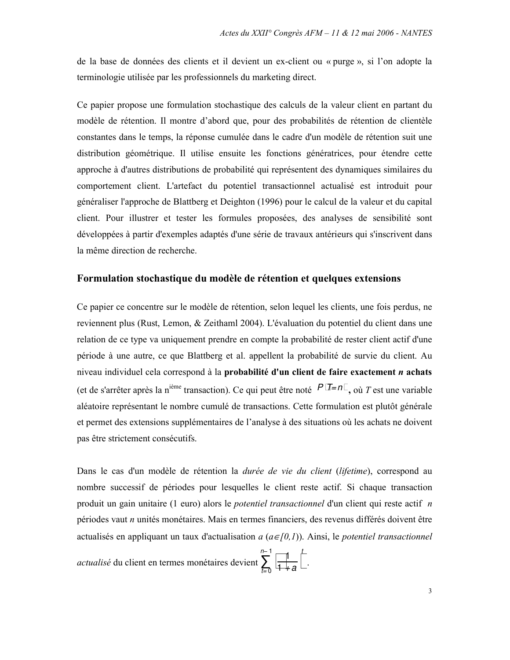de la base de données des clients et il devient un ex-client ou « purge », si l'on adopte la terminologie utilisée par les professionnels du marketing direct.

Ce papier propose une formulation stochastique des calculs de la valeur client en partant du modèle de rétention. Il montre d'abord que, pour des probabilités de rétention de clientèle constantes dans le temps, la réponse cumulée dans le cadre d'un modèle de rétention suit une distribution géométrique. Il utilise ensuite les fonctions génératrices, pour étendre cette approche à d'autres distributions de probabilité qui représentent des dynamiques similaires du comportement client. L'artefact du potentiel transactionnel actualisé est introduit pour généraliser l'approche de Blattberg et Deighton (1996) pour le calcul de la valeur et du capital client. Pour illustrer et tester les formules proposées, des analyses de sensibilité sont développées à partir d'exemples adaptés d'une série de travaux antérieurs qui s'inscrivent dans la même direction de recherche.

#### Formulation stochastique du modèle de rétention et quelques extensions

Ce papier ce concentre sur le modèle de rétention, selon lequel les clients, une fois perdus, ne reviennent plus (Rust, Lemon, & Zeithaml 2004). L'évaluation du potentiel du client dans une relation de ce type va uniquement prendre en compte la probabilité de rester client actif d'une période à une autre, ce que Blattberg et al. appellent la probabilité de survie du client. Au niveau individuel cela correspond à la probabilité d'un client de faire exactement  $n$  achats (et de s'arrêter après la n<sup>ième</sup> transaction). Ce qui peut être noté  $P$   $\overline{I} = n$ , où T est une variable aléatoire représentant le nombre cumulé de transactions. Cette formulation est plutôt générale et permet des extensions supplémentaires de l'analyse à des situations où les achats ne doivent pas être strictement consécutifs.

Dans le cas d'un modèle de rétention la *durée de vie du client (lifetime)*, correspond au nombre successif de périodes pour lesquelles le client reste actif. Si chaque transaction produit un gain unitaire (1 euro) alors le *potentiel transactionnel* d'un client qui reste actif  $n$ périodes vaut *n* unités monétaires. Mais en termes financiers, des revenus différés doivent être actualisés en appliquant un taux d'actualisation  $a(a \in [0,1))$ . Ainsi, le *potentiel transactionnel* 

*actualisé* du client en termes monétaires devient  $\sum_{t=0}^{n-1} \frac{1}{1+a}$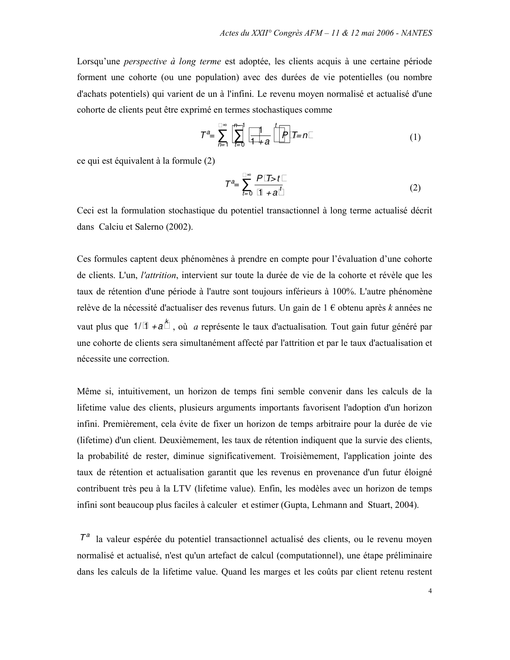Lorsqu'une *perspective à long terme* est adoptée, les clients acquis à une certaine période forment une cohorte (ou une population) avec des durées de vie potentielles (ou nombre d'achats potentiels) qui varient de un à l'infini. Le revenu moyen normalisé et actualisé d'une cohorte de clients peut être exprimé en termes stochastiques comme

$$
T^{a} = \sum_{n=1}^{\infty} \sum_{t=0}^{n-1} \frac{1}{1+a} t^{t} P T = n
$$
 (1)

ce qui est équivalent à la formule (2)

$$
\mathcal{T}^a = \sum_{t=0}^{\infty} \frac{P \text{ T} > t}{1 + a^t} \tag{2}
$$

Ceci est la formulation stochastique du potentiel transactionnel à long terme actualisé décrit dans Calciu et Salerno (2002).

Ces formules captent deux phénomènes à prendre en compte pour l'évaluation d'une cohorte de clients. L'un, l'attrition, intervient sur toute la durée de vie de la cohorte et révèle que les taux de rétention d'une période à l'autre sont toujours inférieurs à 100%. L'autre phénomène relève de la nécessité d'actualiser des revenus futurs. Un gain de  $1 \in$  obtenu après k années ne vaut plus que  $1/1 + a^{k}$ , où *a* représente le taux d'actualisation. Tout gain futur généré par une cohorte de clients sera simultanément affecté par l'attrition et par le taux d'actualisation et nécessite une correction.

Même si, intuitivement, un horizon de temps fini semble convenir dans les calculs de la lifetime value des clients, plusieurs arguments importants favorisent l'adoption d'un horizon infini. Premièrement, cela évite de fixer un horizon de temps arbitraire pour la durée de vie (lifetime) d'un client. Deuxièmement, les taux de rétention indiquent que la survie des clients, la probabilité de rester, diminue significativement. Troisièmement, l'application jointe des taux de rétention et actualisation garantit que les revenus en provenance d'un futur éloigné contribuent très peu à la LTV (lifetime value). Enfin, les modèles avec un horizon de temps infini sont beaucoup plus faciles à calculer et estimer (Gupta, Lehmann and Stuart, 2004).

 $\mathcal{T}^a$  la valeur espérée du potentiel transactionnel actualisé des clients, ou le revenu moyen normalisé et actualisé, n'est qu'un artefact de calcul (computationnel), une étape préliminaire dans les calculs de la lifetime value. Quand les marges et les coûts par client retenu restent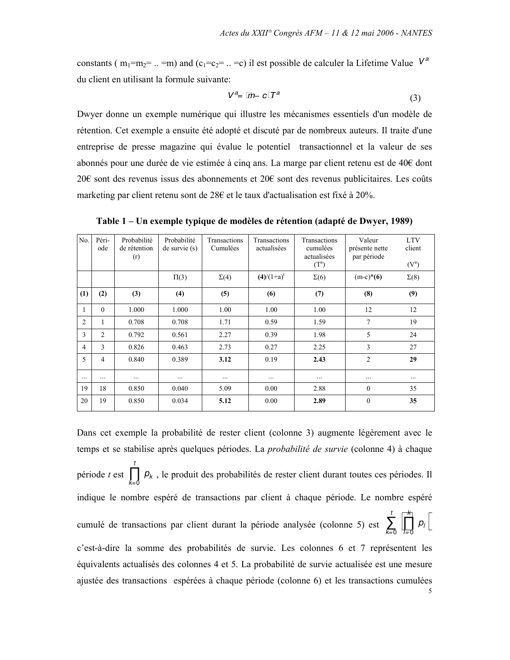constants ( $m_1=m_2$  = .. = m) and ( $c_1=c_2$  = .. = c) il est possible de calculer la Lifetime Value  $V^a$ du client en utilisant la formule suivante:

$$
V^a = m - c \, T^a \tag{3}
$$

Dwyer donne un exemple numérique qui illustre les mécanismes essentiels d'un modèle de rétention. Cet exemple a ensuite été adopté et discuté par de nombreux auteurs. Il traite d'une entreprise de presse magazine qui évalue le potentiel transactionnel et la valeur de ses abonnés pour une durée de vie estimée à cinq ans. La marge par client retenu est de 40€ dont 20€ sont des revenus issus des abonnements et 20€ sont des revenus publicitaires. Les coûts marketing par client retenu sont de 28€ et le taux d'actualisation est fixé à 20%.

N<sub>0</sub> Péri-Probabilité Probabilité Transactions Transactions Transactions Valeur **LTV** ode de rétention de survie (s) Cumulées actualisées cumulées présente nette client actualisées  $(r)$ par période  $(T^a)$  $(V^a)$  $\Pi(3)$  $\Sigma(4)$  $(4)/(1+a)^t$  $\Sigma(6)$  $(m-c)*(6)$  $\Sigma(8)$  $(1)$  $(2)$  $(3)$  $(4)$  $(5)$  $(6)$  $(7)$  $(8)$  $(9)$  $\mathbf{1}$  $\boldsymbol{0}$ 1.000 1.000 1.00 1.00 1.00 12 12 1.59 2  $\mathbf{1}$ 0.708 0.708 1.71 0.59  $7\phantom{.0}$ 19  $\overline{3}$  $\overline{2}$ 0.792 0.561 2.27 0.39 1.98 5 24  $\overline{4}$  $\overline{3}$ 0.826 0.463 2.73 0.27 2.25  $\overline{\mathbf{3}}$ 27 5  $\overline{4}$  $\overline{2}$ 0.840  $3.12$ 0.389 0.19 2.43 29  $\mathcal{L}$  $\mathcal{L}$  $\ddotsc$  $\ddotsc$  $\mathcal{L}$  $\dddotsc$  $\mathbb{R}^2$  $\ddotsc$  $\mathbb{R}^2$ 19 18 0.850 0.040 5.09  $0.00$ 2.88  $\theta$  $35$ 20 19 0.850 0.034 5.12  $0.00$ 2.89  $\mathbf{0}$ 35

Table 1 – Un exemple typique de modèles de rétention (adapté de Dwyer, 1989)

Dans cet exemple la probabilité de rester client (colonne 3) augmente légèrement avec le temps et se stabilise après quelques périodes. La *probabilité de survie* (colonne 4) à chaque période t est  $\prod_{k=1}^{n} p_k$ , le produit des probabilités de rester client durant toutes ces périodes. Il indique le nombre espéré de transactions par client à chaque période. Le nombre espéré cumulé de transactions par client durant la période analysée (colonne 5) est  $\sum_{r=0}^{t} \prod_{r=0}^{k} p_r$ c'est-à-dire la somme des probabilités de survie. Les colonnes 6 et 7 représentent les équivalents actualisés des colonnes 4 et 5. La probabilité de survie actualisée est une mesure ajustée des transactions espérées à chaque période (colonne 6) et les transactions cumulées

5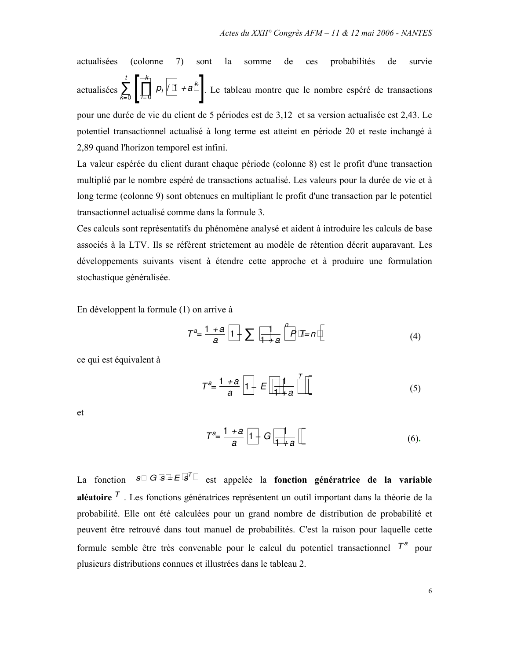actualisées (colonne 7) sont la somme de ces probabilités de survie actualisées  $\sum_{k=0}^{t} \left[ \prod_{i=0}^{k} p_i / 1 + a^{k} \right]$ . Le tableau montre que le nombre espéré de transactions

pour une durée de vie du client de 5 périodes est de 3,12 et sa version actualisée est 2,43. Le potentiel transactionnel actualisé à long terme est atteint en période 20 et reste inchangé à 2,89 quand l'horizon temporel est infini.

La valeur espérée du client durant chaque période (colonne 8) est le profit d'une transaction multiplié par le nombre espéré de transactions actualisé. Les valeurs pour la durée de vie et à long terme (colonne 9) sont obtenues en multipliant le profit d'une transaction par le potentiel transactionnel actualisé comme dans la formule 3.

Ces calculs sont représentatifs du phénomène analysé et aident à introduire les calculs de base associés à la LTV. Ils se réfèrent strictement au modèle de rétention décrit auparavant. Les développements suivants visent à étendre cette approche et à produire une formulation stochastique généralisée.

En développent la formule (1) on arrive à

$$
T^{a} = \frac{1+a}{a} \ 1 - \sum \frac{1}{1+a} \int_{0}^{n} P \ T = n \tag{4}
$$

ce qui est équivalent à

$$
T^{a} = \frac{1+a}{a} \quad 1 - E \quad \frac{1}{1+a} \tag{5}
$$

et

$$
T^{a} = \frac{1+a}{a} \ 1 - G \ \frac{1}{1+a} \tag{6}
$$

La fonction  $s$   $G s = E s<sup>T</sup>$  est appelée la fonction génératrice de la variable **aléatoire**  $^7$ . Les fonctions génératrices représentent un outil important dans la théorie de la probabilité. Elle ont été calculées pour un grand nombre de distribution de probabilité et peuvent être retrouvé dans tout manuel de probabilités. C'est la raison pour laquelle cette formule semble être très convenable pour le calcul du potentiel transactionnel  $T^a$  pour plusieurs distributions connues et illustrées dans le tableau 2.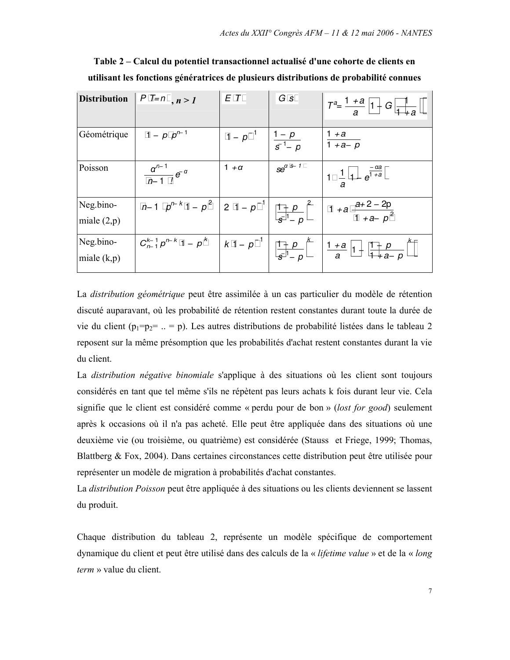|                            | Distribution $\mid P \mid T=n \mid n>1$                                                                      | $E$ T                             | G s          | $T^{a} = \frac{1+a}{a} 1 - G \frac{1}{1+a}$                                                                                |
|----------------------------|--------------------------------------------------------------------------------------------------------------|-----------------------------------|--------------|----------------------------------------------------------------------------------------------------------------------------|
| Géométrique                | 1 – p $p^{n-1}$                                                                                              | $1-p^{-1}$ $\frac{1-p}{s^{-1}-p}$ |              | $\frac{1+a}{1+a-p}$                                                                                                        |
| Poisson                    | $\frac{a^{n-1}}{n-1}e^{-a}$                                                                                  | $1 + \alpha$                      | $se^{a s-1}$ | $1 \frac{1}{a} 1 - e^{\frac{-\alpha a}{1+a}}$                                                                              |
| Neg.bino-<br>miale $(2,p)$ | <i>n</i> -1 $p^{n-k}$ 1 - $p^2$   2 1 - $p^{-1}$   $\frac{1-p}{s^{-1}-p}^2$   1 + a $\frac{a+2-2p}{1+a-p^2}$ |                                   |              |                                                                                                                            |
| Neg.bino-<br>miale $(k,p)$ |                                                                                                              |                                   |              | $C_{n-1}^{k-1} p^{n-k} 1 - p^k \mid k 1 - p^{-1} \mid \frac{1-p}{s^{-1} - p}^k \mid \frac{1+a}{a} 1 - \frac{1-p}{1+a-p}^k$ |

Table 2 – Calcul du potentiel transactionnel actualisé d'une cohorte de clients en utilisant les fonctions génératrices de plusieurs distributions de probabilité connues

La *distribution géométrique* peut être assimilée à un cas particulier du modèle de rétention discuté auparavant, où les probabilité de rétention restent constantes durant toute la durée de vie du client  $(p_1=p_2=..=p)$ . Les autres distributions de probabilité listées dans le tableau 2 reposent sur la même présomption que les probabilités d'achat restent constantes durant la vie du client.

La *distribution négative binomiale* s'applique à des situations où les client sont toujours considérés en tant que tel même s'ils ne répètent pas leurs achats k fois durant leur vie. Cela signifie que le client est considéré comme « perdu pour de bon » (lost for good) seulement après k occasions où il n'a pas acheté. Elle peut être appliquée dans des situations où une deuxième vie (ou troisième, ou quatrième) est considérée (Stauss et Friege, 1999; Thomas, Blattberg & Fox, 2004). Dans certaines circonstances cette distribution peut être utilisée pour représenter un modèle de migration à probabilités d'achat constantes.

La *distribution Poisson* peut être appliquée à des situations ou les clients deviennent se lassent du produit.

Chaque distribution du tableau 2, représente un modèle spécifique de comportement dynamique du client et peut être utilisé dans des calculs de la « lifetime value » et de la « long *term* » value du client.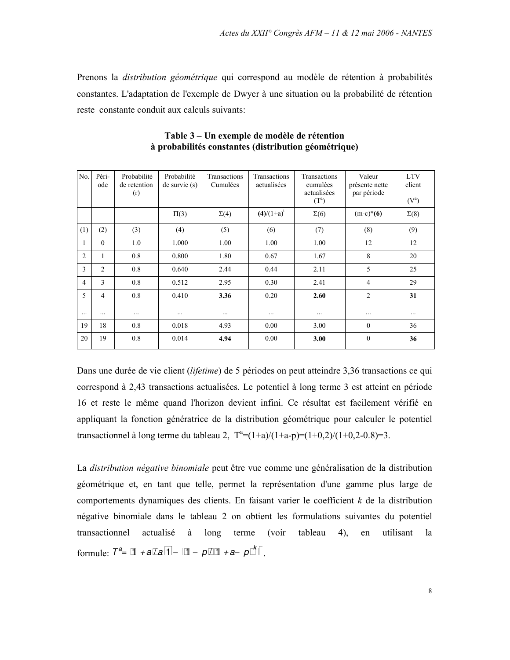Prenons la *distribution géométrique* qui correspond au modèle de rétention à probabilités constantes. L'adaptation de l'exemple de Dwyer à une situation ou la probabilité de rétention reste constante conduit aux calculs suivants:

| No.            | Péri-<br>ode   | Probabilité<br>de retention<br>(r) | Probabilité<br>$de$ survie $(s)$ | Transactions<br>Cumulées | Transactions<br>actualisées | Transactions<br>cumulées<br>actualisées<br>$(T^a)$ | Valeur<br>présente nette<br>par période | <b>LTV</b><br>client<br>$(V^a)$ |
|----------------|----------------|------------------------------------|----------------------------------|--------------------------|-----------------------------|----------------------------------------------------|-----------------------------------------|---------------------------------|
|                |                |                                    | $\Pi(3)$                         | $\Sigma(4)$              | $(4)/(1+a)^t$               | $\Sigma(6)$                                        | $(m-c)*(6)$                             | $\Sigma(8)$                     |
| (1)            | (2)            | (3)                                | (4)                              | (5)                      | (6)                         | (7)                                                | (8)                                     | (9)                             |
| 1              | $\theta$       | 1.0                                | 1.000                            | 1.00                     | 1.00                        | 1.00                                               | 12                                      | 12                              |
| $\overline{2}$ | 1              | 0.8                                | 0.800                            | 1.80                     | 0.67                        | 1.67                                               | 8                                       | 20                              |
| 3              | $\overline{c}$ | 0.8                                | 0.640                            | 2.44                     | 0.44                        | 2.11                                               | 5                                       | 25                              |
| 4              | 3              | 0.8                                | 0.512                            | 2.95                     | 0.30                        | 2.41                                               | 4                                       | 29                              |
| 5              | 4              | 0.8                                | 0.410                            | 3.36                     | 0.20                        | 2.60                                               | $\overline{2}$                          | 31                              |
| $\cdots$       | .              | $\cdots$                           |                                  | .                        | $\cdots$                    | $\cdots$                                           | $\cdots$                                |                                 |
| 19             | 18             | 0.8                                | 0.018                            | 4.93                     | 0.00                        | 3.00                                               | $\mathbf{0}$                            | 36                              |
| 20             | 19             | 0.8                                | 0.014                            | 4.94                     | 0.00                        | 3.00                                               | $\theta$                                | 36                              |

Table 3 – Un exemple de modèle de rétention à probabilités constantes (distribution géométrique)

Dans une durée de vie client (lifetime) de 5 périodes on peut atteindre 3,36 transactions ce qui correspond à 2,43 transactions actualisées. Le potentiel à long terme 3 est atteint en période 16 et reste le même quand l'horizon devient infini. Ce résultat est facilement vérifié en appliquant la fonction génératrice de la distribution géométrique pour calculer le potentiel transactionnel à long terme du tableau 2,  $T^2 = (1+a)/(1+a-p) = (1+0,2)/(1+0,2-0.8) = 3$ .

La *distribution négative binomiale* peut être vue comme une généralisation de la distribution géométrique et, en tant que telle, permet la représentation d'une gamme plus large de comportements dynamiques des clients. En faisant varier le coefficient  $k$  de la distribution négative binomiale dans le tableau 2 on obtient les formulations suivantes du potentiel transactionnel actualisé à long terme  $(voir)$ tableau  $4)$ . en utilisant  $1a$ formule:  $T^a = 1 + a/a 1 - 1 - p/1 + a - p^k$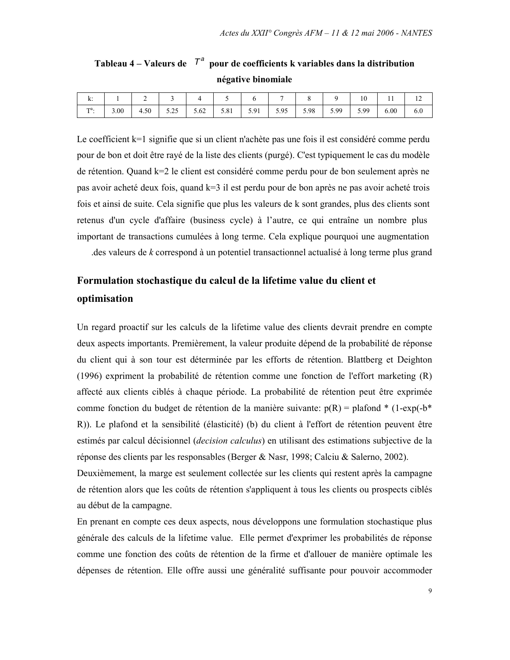| . .<br>Λ.     |      | ∽    |      |      |      |      |      |      |      | 10   | $\mathbf{r}$ | 14  |
|---------------|------|------|------|------|------|------|------|------|------|------|--------------|-----|
| $Ta$ .<br>. . | 3.00 | 4.50 | 5.25 | 5.62 | 5.81 | 5.91 | 5.95 | 5.98 | 5.99 | 5.99 | 6.00         | 6.0 |

Tableau 4 – Valeurs de  $T^a$  pour de coefficients k variables dans la distribution négative binomiale

Le coefficient k=1 signifie que si un client n'achète pas une fois il est considéré comme perdu pour de bon et doit être rayé de la liste des clients (purgé). C'est typiquement le cas du modèle de rétention. Quand k=2 le client est considéré comme perdu pour de bon seulement après ne pas avoir acheté deux fois, quand k=3 il est perdu pour de bon après ne pas avoir acheté trois fois et ainsi de suite. Cela signifie que plus les valeurs de k sont grandes, plus des clients sont retenus d'un cycle d'affaire (business cycle) à l'autre, ce qui entraîne un nombre plus important de transactions cumulées à long terme. Cela explique pourquoi une augmentation

des valeurs de k correspond à un potentiel transactionnel actualisé à long terme plus grand

### Formulation stochastique du calcul de la lifetime value du client et optimisation

Un regard proactif sur les calculs de la lifetime value des clients devrait prendre en compte deux aspects importants. Premièrement, la valeur produite dépend de la probabilité de réponse du client qui à son tour est déterminée par les efforts de rétention. Blattberg et Deighton (1996) expriment la probabilité de rétention comme une fonction de l'effort marketing (R) affecté aux clients ciblés à chaque période. La probabilité de rétention peut être exprimée comme fonction du budget de rétention de la manière suivante:  $p(R) =$  plafond \* (1-exp(-b\*) R)). Le plafond et la sensibilité (élasticité) (b) du client à l'effort de rétention peuvent être estimés par calcul décisionnel *(decision calculus)* en utilisant des estimations subjective de la réponse des clients par les responsables (Berger & Nasr, 1998; Calciu & Salerno, 2002).

Deuxièmement, la marge est seulement collectée sur les clients qui restent après la campagne de rétention alors que les coûts de rétention s'appliquent à tous les clients ou prospects ciblés au début de la campagne.

En prenant en compte ces deux aspects, nous développons une formulation stochastique plus générale des calculs de la lifetime value. Elle permet d'exprimer les probabilités de réponse comme une fonction des coûts de rétention de la firme et d'allouer de manière optimale les dépenses de rétention. Elle offre aussi une généralité suffisante pour pouvoir accommoder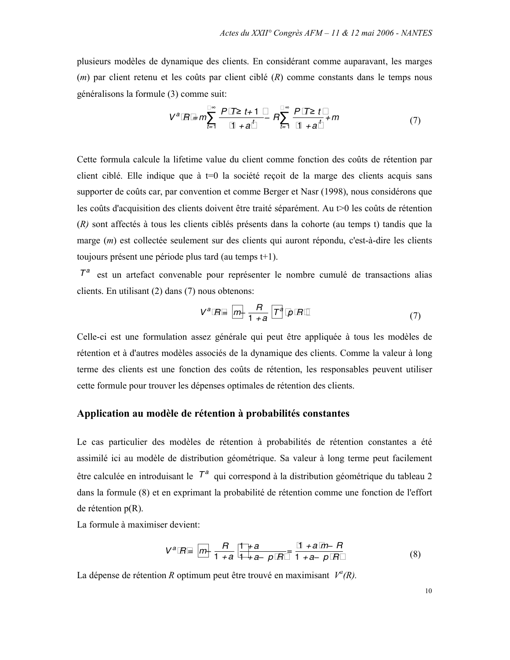plusieurs modèles de dynamique des clients. En considérant comme auparavant, les marges  $(m)$  par client retenu et les coûts par client ciblé  $(R)$  comme constants dans le temps nous généralisons la formule (3) comme suit:

$$
V^{a} R = m \sum_{t=1}^{\infty} \frac{P T \ge t+1}{1 + a^{t}} - R \sum_{t=1}^{\infty} \frac{P T \ge t}{1 + a^{t}} + m
$$
 (7)

Cette formula calcule la lifetime value du client comme fonction des coûts de rétention par client ciblé. Elle indique que à  $t=0$  la société recoit de la marge des clients acquis sans supporter de coûts car, par convention et comme Berger et Nasr (1998), nous considérons que les coûts d'acquisition des clients doivent être traité séparément. Au t $>0$  les coûts de rétention  $(R)$  sont affectés à tous les clients ciblés présents dans la cohorte (au temps t) tandis que la marge (m) est collectée seulement sur des clients qui auront répondu, c'est-à-dire les clients toujours présent une période plus tard (au temps t+1).

 $T<sup>a</sup>$  est un artefact convenable pour représenter le nombre cumulé de transactions alias clients. En utilisant  $(2)$  dans  $(7)$  nous obtenons:

$$
V^a R = m - \frac{R}{1+a} T^a \ p \ R \tag{7}
$$

Celle-ci est une formulation assez générale qui peut être appliquée à tous les modèles de rétention et à d'autres modèles associés de la dynamique des clients. Comme la valeur à long terme des clients est une fonction des coûts de rétention, les responsables peuvent utiliser cette formule pour trouver les dépenses optimales de rétention des clients.

### Application au modèle de rétention à probabilités constantes

Le cas particulier des modèles de rétention à probabilités de rétention constantes a été assimilé ici au modèle de distribution géométrique. Sa valeur à long terme peut facilement être calculée en introduisant le  $T^a$  qui correspond à la distribution géométrique du tableau 2 dans la formule (8) et en exprimant la probabilité de rétention comme une fonction de l'effort de rétention  $p(R)$ .

La formule à maximiser devient:

$$
V^{a} R = m - \frac{R}{1 + a} \frac{1 + a}{1 + a - p} = \frac{1 + a m - R}{1 + a - p R}
$$
 (8)

La dépense de rétention R optimum peut être trouvé en maximisant  $V^a(R)$ .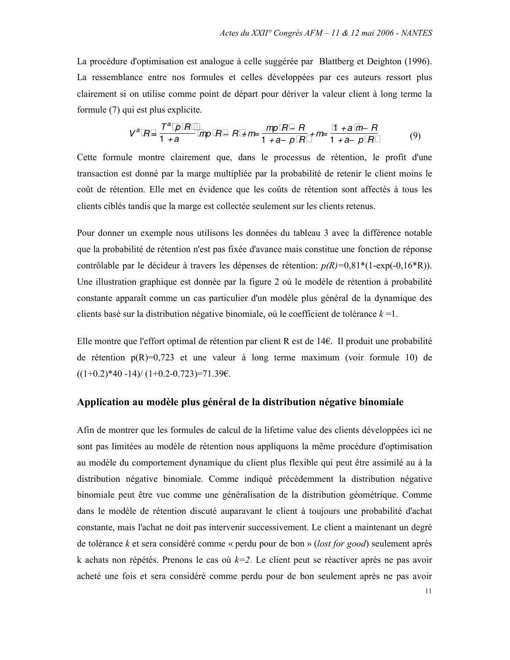La procédure d'optimisation est analogue à celle suggérée par Blattberg et Deighton (1996). La ressemblance entre nos formules et celles développées par ces auteurs ressort plus clairement si on utilise comme point de départ pour dériver la valeur client à long terme la formule (7) qui est plus explicite.

$$
V^{a} R = \frac{T^{a} p R}{1 + a} \text{ mp } R - R + m = \frac{mp R - R}{1 + a - p R} + m = \frac{1 + a m - R}{1 + a - p R} \tag{9}
$$

Cette formule montre clairement que, dans le processus de rétention, le profit d'une transaction est donné par la marge multipliée par la probabilité de retenir le client moins le coût de rétention. Elle met en évidence que les coûts de rétention sont affectés à tous les clients ciblés tandis que la marge est collectée seulement sur les clients retenus.

Pour donner un exemple nous utilisons les données du tableau 3 avec la différence notable que la probabilité de rétention n'est pas fixée d'avance mais constitue une fonction de réponse contrôlable par le décideur à travers les dépenses de rétention:  $p(R)=0.81*(1-exp(-0.16*R))$ . Une illustration graphique est donnée par la figure 2 où le modèle de rétention à probabilité constante apparaît comme un cas particulier d'un modèle plus général de la dynamique des clients basé sur la distribution négative binomiale, où le coefficient de tolérance  $k = 1$ .

Elle montre que l'effort optimal de rétention par client R est de 14 $\epsilon$ . Il produit une probabilité de rétention  $p(R)=0.723$  et une valeur à long terme maximum (voir formule 10) de  $((1+0.2)*40 -14)/(1+0.2-0.723)=71.39\epsilon.$ 

#### Application au modèle plus général de la distribution négative binomiale

Afin de montrer que les formules de calcul de la lifetime value des clients développées ici ne sont pas limitées au modèle de rétention nous appliquons la même procédure d'optimisation au modèle du comportement dynamique du client plus flexible qui peut être assimilé au à la distribution négative binomiale. Comme indiqué précédemment la distribution négative binomiale peut être vue comme une généralisation de la distribution géométrique. Comme dans le modèle de rétention discuté auparavant le client à toujours une probabilité d'achat constante, mais l'achat ne doit pas intervenir successivement. Le client a maintenant un degré de tolérance k et sera considéré comme « perdu pour de bon » (lost for good) seulement après k achats non répétés. Prenons le cas où  $k=2$ . Le client peut se réactiver après ne pas avoir acheté une fois et sera considéré comme perdu pour de bon seulement après ne pas avoir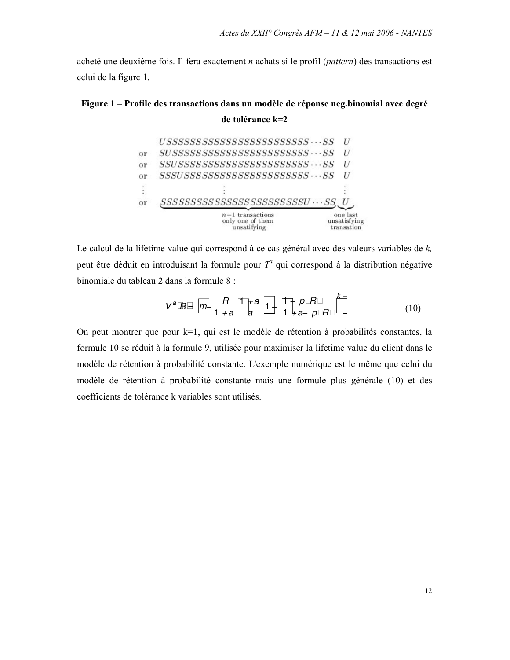acheté une deuxième fois. Il fera exactement  $n$  achats si le profil (pattern) des transactions est celui de la figure 1.

# Figure 1 – Profile des transactions dans un modèle de réponse neg.binomial avec degré de tolérance k=2  $USSSSSSSSSSSSSSSSSSSSSSSSSSS S\cdots SS$  U or  $SUSSSSSSSSSSSSSSSSSSSSSSSSS\cdots SS$  U

| or | <i>SSSSSSSSSSSSSSSSSSSSSSSSSU … SS</i><br>$n-1$ transactions<br>only one of them | one last<br>unsatisfying |
|----|----------------------------------------------------------------------------------|--------------------------|
|    |                                                                                  |                          |
| or | $SSS S S S S S S S S S S S S S S S S S S S S \cdots S S$                         |                          |
| or | $SSUSSSSSSSSSSSSSSSSSSSSSSS\cdots SS$                                            |                          |
|    |                                                                                  |                          |

Le calcul de la lifetime value qui correspond à ce cas général avec des valeurs variables de  $k$ , peut être déduit en introduisant la formule pour  $T^a$  qui correspond à la distribution négative binomiale du tableau 2 dans la formule 8 :

$$
V^{a} R = m - \frac{R}{1+a} \frac{1+a}{a} 1 - \frac{1-p R}{1+a-p R}^{k}
$$
 (10)

On peut montrer que pour k=1, qui est le modèle de rétention à probabilités constantes, la formule 10 se réduit à la formule 9, utilisée pour maximiser la lifetime value du client dans le modèle de rétention à probabilité constante. L'exemple numérique est le même que celui du modèle de rétention à probabilité constante mais une formule plus générale (10) et des coefficients de tolérance k variables sont utilisés.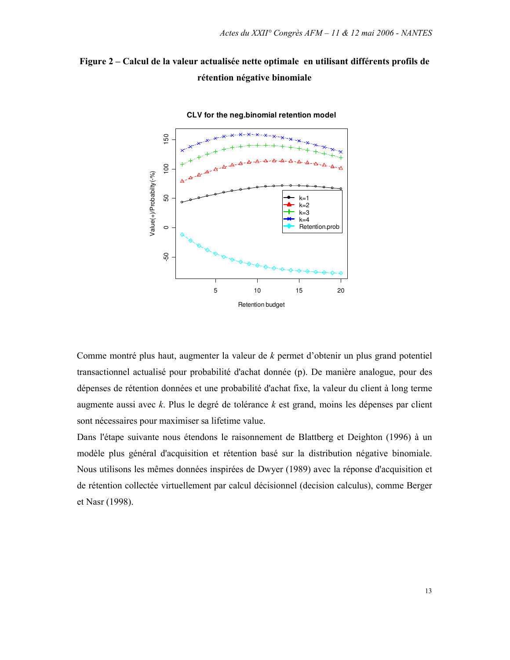



CLV for the neg.binomial retention model

Comme montré plus haut, augmenter la valeur de  $k$  permet d'obtenir un plus grand potentiel transactionnel actualisé pour probabilité d'achat donnée (p). De manière analogue, pour des dépenses de rétention données et une probabilité d'achat fixe, la valeur du client à long terme augmente aussi avec  $k$ . Plus le degré de tolérance  $k$  est grand, moins les dépenses par client sont nécessaires pour maximiser sa lifetime value.

Dans l'étape suivante nous étendons le raisonnement de Blattberg et Deighton (1996) à un modèle plus général d'acquisition et rétention basé sur la distribution négative binomiale. Nous utilisons les mêmes données inspirées de Dwyer (1989) avec la réponse d'acquisition et de rétention collectée virtuellement par calcul décisionnel (decision calculus), comme Berger et Nasr (1998).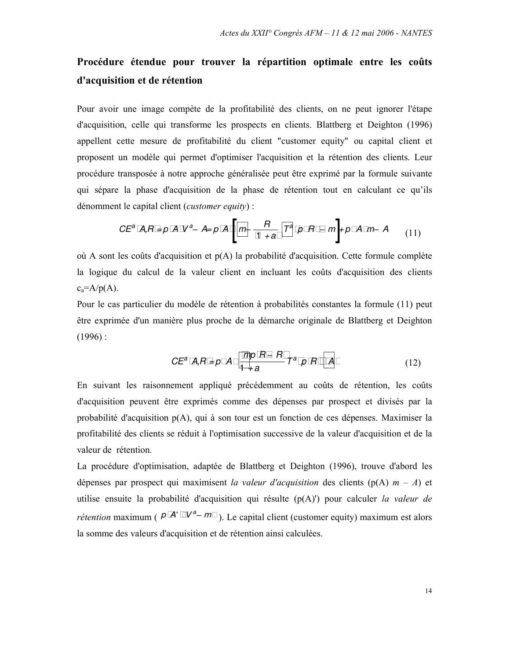### Procédure étendue pour trouver la répartition optimale entre les coûts d'acquisition et de rétention

Pour avoir une image compète de la profitabilité des clients, on ne peut ignorer l'étape d'acquisition, celle qui transforme les prospects en clients. Blattberg et Deighton (1996) appellent cette mesure de profitabilité du client "customer equity" ou capital client et proposent un modèle qui permet d'optimiser l'acquisition et la rétention des clients. Leur procédure transposée à notre approche généralisée peut être exprimé par la formule suivante qui sépare la phase d'acquisition de la phase de rétention tout en calculant ce qu'ils dénomment le capital client (*customer equity*) :

$$
CE^{a} A, B = p A V^{a} - A = p A \left[ m - \frac{B}{1 + a} T^{a} p B - m \right] + p A m - A
$$
 (11)

où A sont les coûts d'acquisition et  $p(A)$  la probabilité d'acquisition. Cette formule complète la logique du calcul de la valeur client en incluant les coûts d'acquisition des clients  $c_a = A/p(A)$ .

Pour le cas particulier du modèle de rétention à probabilités constantes la formule (11) peut être exprimée d'un manière plus proche de la démarche originale de Blattberg et Deighton  $(1996)$ :

$$
CE^{a} A, R = p A \frac{mp R - R}{1 + a} T^{a} p R A
$$
 (12)

En suivant les raisonnement appliqué précédemment au coûts de rétention, les coûts d'acquisition peuvent être exprimés comme des dépenses par prospect et divisés par la probabilité d'acquisition  $p(A)$ , qui à son tour est un fonction de ces dépenses. Maximiser la profitabilité des clients se réduit à l'optimisation successive de la valeur d'acquisition et de la valeur de rétention.

La procédure d'optimisation, adaptée de Blattberg et Deighton (1996), trouve d'abord les dépenses par prospect qui maximisent la valeur d'acquisition des clients (p(A)  $m - A$ ) et utilise ensuite la probabilité d'acquisition qui résulte  $(p(A))$  pour calculer la valeur de *rétention* maximum ( $P A' V^a - m$ ). Le capital client (customer equity) maximum est alors la somme des valeurs d'acquisition et de rétention ainsi calculées.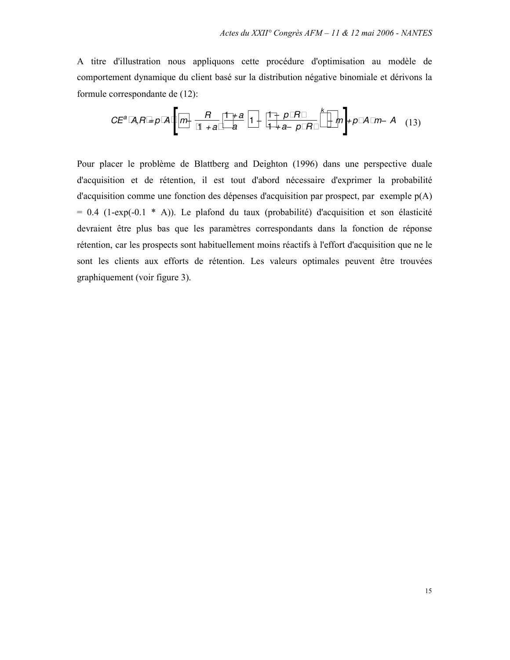A titre d'illustration nous appliquons cette procédure d'optimisation au modèle de comportement dynamique du client basé sur la distribution négative binomiale et dérivons la formule correspondante de (12):

$$
CE^{a} \, \textit{A}, R = p \, \textit{A} \left[ m - \frac{R}{1+a} \, \frac{1+a}{a} \, 1 - \frac{1-p \, R}{1+a-p \, R}^{k} - m \right] + p \, \textit{A} \, m - \textit{A} \quad (13)
$$

Pour placer le problème de Blattberg and Deighton (1996) dans une perspective duale d'acquisition et de rétention, il est tout d'abord nécessaire d'exprimer la probabilité d'acquisition comme une fonction des dépenses d'acquisition par prospect, par exemple  $p(A)$  $= 0.4$  (1-exp(-0.1  $*$  A)). Le plafond du taux (probabilité) d'acquisition et son élasticité devraient être plus bas que les paramètres correspondants dans la fonction de réponse rétention, car les prospects sont habituellement moins réactifs à l'effort d'acquisition que ne le sont les clients aux efforts de rétention. Les valeurs optimales peuvent être trouvées graphiquement (voir figure 3).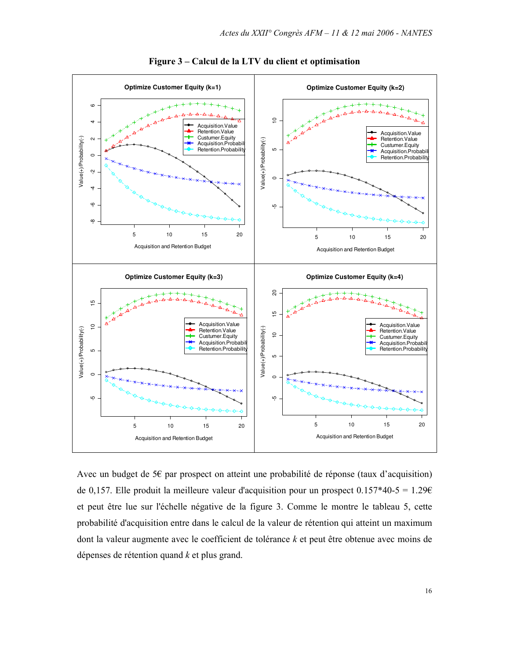

Figure 3 – Calcul de la LTV du client et optimisation

Avec un budget de 5 $\epsilon$  par prospect on atteint une probabilité de réponse (taux d'acquisition) de 0,157. Elle produit la meilleure valeur d'acquisition pour un prospect  $0.157*40-5 = 1.296$ et peut être lue sur l'échelle négative de la figure 3. Comme le montre le tableau 5, cette probabilité d'acquisition entre dans le calcul de la valeur de rétention qui atteint un maximum dont la valeur augmente avec le coefficient de tolérance  $k$  et peut être obtenue avec moins de dépenses de rétention quand  $k$  et plus grand.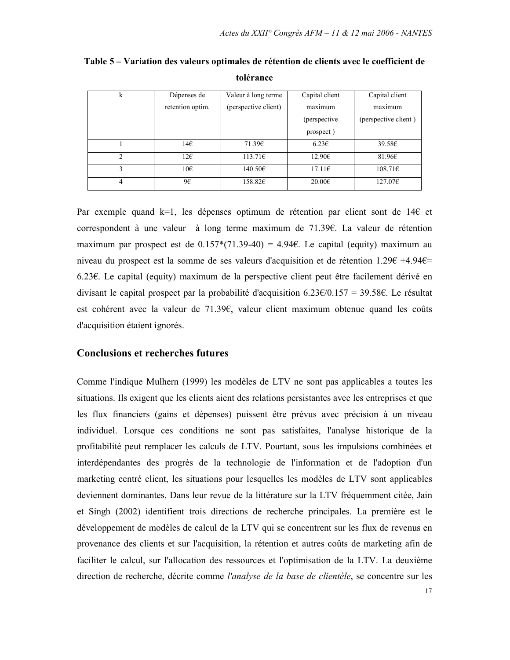| k              | Dépenses de      | Valeur à long terme  | Capital client  | Capital client       |  |
|----------------|------------------|----------------------|-----------------|----------------------|--|
|                | retention optim. | (perspective client) | maximum         | maximum              |  |
|                |                  |                      | (perspective)   | (perspective client) |  |
|                |                  |                      | prospect)       |                      |  |
|                | 14€              | 71.39E               | 6.23E           | 39.58E               |  |
| $\mathfrak{D}$ | 126              | 113.71E              | 12.90€          | 81.96E               |  |
| 3              | 10 <sup>2</sup>  | 140.50€              | $17.11\epsilon$ | 108.71E              |  |
| 4              | 9€               | 158.82E              | 20.006          | 127.07E              |  |

Table 5 – Variation des valeurs optimales de rétention de clients avec le coefficient de tolérance

Par exemple quand  $k=1$ , les dépenses optimum de rétention par client sont de 14 $\epsilon$  et correspondent à une valeur à long terme maximum de 71.39€. La valeur de rétention maximum par prospect est de  $0.157*(71.39-40) = 4.946$ . Le capital (equity) maximum au niveau du prospect est la somme de ses valeurs d'acquisition et de rétention  $1.296 +4.946 =$ 6.23 $\epsilon$ . Le capital (equity) maximum de la perspective client peut être facilement dérivé en divisant le capital prospect par la probabilité d'acquisition  $6.23 \times (0.157 = 39.58 \times$ . Le résultat est cohérent avec la valeur de  $71.396$ , valeur client maximum obtenue quand les coûts d'acquisition étaient ignorés.

### **Conclusions et recherches futures**

Comme l'indique Mulhern (1999) les modèles de LTV ne sont pas applicables a toutes les situations. Ils exigent que les clients aient des relations persistantes avec les entreprises et que les flux financiers (gains et dépenses) puissent être prévus avec précision à un niveau individuel. Lorsque ces conditions ne sont pas satisfaites, l'analyse historique de la profitabilité peut remplacer les calculs de LTV. Pourtant, sous les impulsions combinées et interdépendantes des progrès de la technologie de l'information et de l'adoption d'un marketing centré client, les situations pour lesquelles les modèles de LTV sont applicables deviennent dominantes. Dans leur revue de la littérature sur la LTV fréquemment citée, Jain et Singh (2002) identifient trois directions de recherche principales. La première est le développement de modèles de calcul de la LTV qui se concentrent sur les flux de revenus en provenance des clients et sur l'acquisition, la rétention et autres coûts de marketing afin de faciliter le calcul, sur l'allocation des ressources et l'optimisation de la LTV. La deuxième direction de recherche, décrite comme *l'analyse de la base de clientèle*, se concentre sur les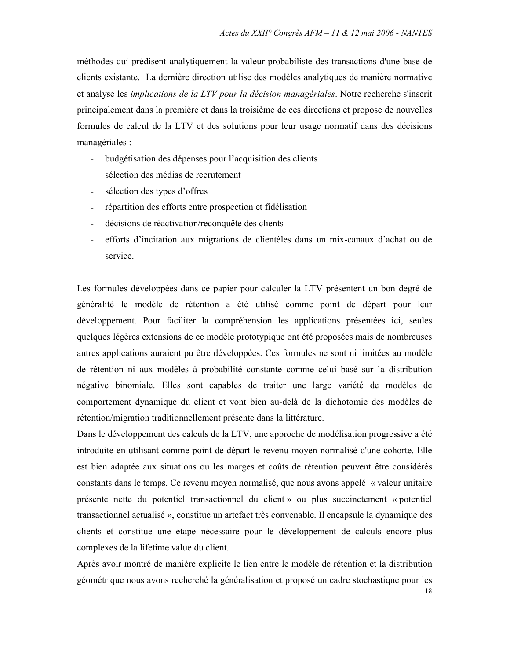méthodes qui prédisent analytiquement la valeur probabiliste des transactions d'une base de clients existante. La dernière direction utilise des modèles analytiques de manière normative et analyse les *implications de la LTV pour la décision managériales*. Notre recherche s'inscrit principalement dans la première et dans la troisième de ces directions et propose de nouvelles formules de calcul de la LTV et des solutions pour leur usage normatif dans des décisions managériales :

- $\omega_{\rm{max}}$ budgétisation des dépenses pour l'acquisition des clients
- sélection des médias de recrutement  $\mathbf{r}$
- sélection des types d'offres  $\mathbf{r}$
- répartition des efforts entre prospection et fidélisation  $\omega_{\rm{max}}$
- décisions de réactivation/reconquête des clients  $\omega_{\rm{max}}$
- efforts d'incitation aux migrations de clientèles dans un mix-canaux d'achat ou de service

Les formules développées dans ce papier pour calculer la LTV présentent un bon degré de généralité le modèle de rétention a été utilisé comme point de départ pour leur développement. Pour faciliter la compréhension les applications présentées ici, seules quelques légères extensions de ce modèle prototypique ont été proposées mais de nombreuses autres applications auraient pu être développées. Ces formules ne sont ni limitées au modèle de rétention ni aux modèles à probabilité constante comme celui basé sur la distribution négative binomiale. Elles sont capables de traiter une large variété de modèles de comportement dynamique du client et vont bien au-delà de la dichotomie des modèles de rétention/migration traditionnellement présente dans la littérature.

Dans le développement des calculs de la LTV, une approche de modélisation progressive a été introduite en utilisant comme point de départ le revenu moyen normalisé d'une cohorte. Elle est bien adaptée aux situations ou les marges et coûts de rétention peuvent être considérés constants dans le temps. Ce revenu moyen normalisé, que nous avons appelé « valeur unitaire présente nette du potentiel transactionnel du client » ou plus succinctement « potentiel transactionnel actualisé », constitue un artefact très convenable. Il encapsule la dynamique des clients et constitue une étape nécessaire pour le développement de calculs encore plus complexes de la lifetime value du client.

Après avoir montré de manière explicite le lien entre le modèle de rétention et la distribution géométrique nous avons recherché la généralisation et proposé un cadre stochastique pour les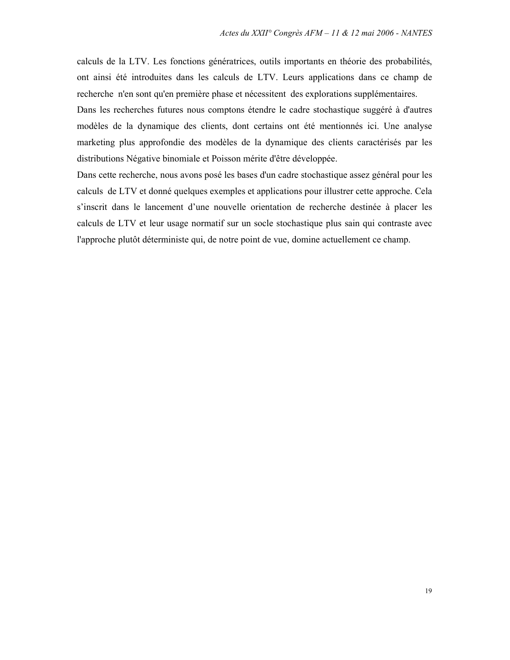calculs de la LTV. Les fonctions génératrices, outils importants en théorie des probabilités, ont ainsi été introduites dans les calculs de LTV. Leurs applications dans ce champ de recherche n'en sont qu'en première phase et nécessitent des explorations supplémentaires.

Dans les recherches futures nous comptons étendre le cadre stochastique suggéré à d'autres modèles de la dynamique des clients, dont certains ont été mentionnés ici. Une analyse marketing plus approfondie des modèles de la dynamique des clients caractérisés par les distributions Négative binomiale et Poisson mérite d'être développée.

Dans cette recherche, nous avons posé les bases d'un cadre stochastique assez général pour les calculs de LTV et donné quelques exemples et applications pour illustrer cette approche. Cela s'inscrit dans le lancement d'une nouvelle orientation de recherche destinée à placer les calculs de LTV et leur usage normatif sur un socle stochastique plus sain qui contraste avec l'approche plutôt déterministe qui, de notre point de vue, domine actuellement ce champ.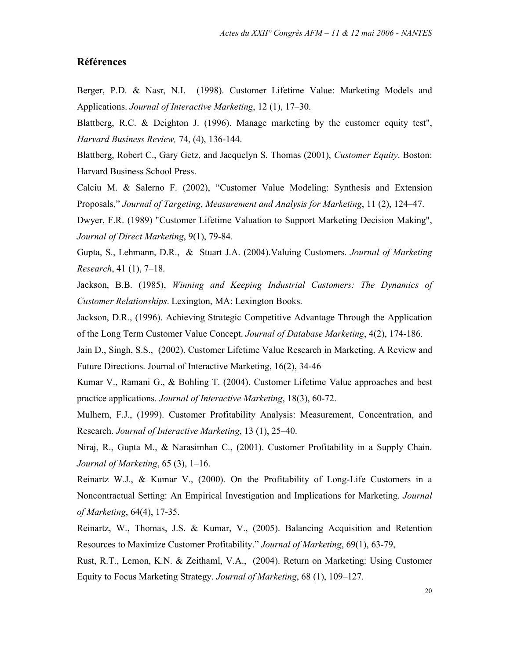### **Références**

Berger, P.D. & Nasr, N.I. (1998). Customer Lifetime Value: Marketing Models and Applications. Journal of Interactive Marketing, 12 (1), 17–30.

Blattberg, R.C. & Deighton J. (1996). Manage marketing by the customer equity test", Harvard Business Review, 74, (4), 136-144.

Blattberg, Robert C., Gary Getz, and Jacquelyn S. Thomas (2001), Customer Equity. Boston: Harvard Business School Press.

Calciu M. & Salerno F. (2002), "Customer Value Modeling: Synthesis and Extension Proposals," Journal of Targeting, Measurement and Analysis for Marketing, 11 (2), 124–47.

Dwyer, F.R. (1989) "Customer Lifetime Valuation to Support Marketing Decision Making", Journal of Direct Marketing, 9(1), 79-84.

Gupta, S., Lehmann, D.R., & Stuart J.A. (2004). Valuing Customers. Journal of Marketing Research, 41 (1), 7–18.

Jackson, B.B. (1985), Winning and Keeping Industrial Customers: The Dynamics of Customer Relationships. Lexington, MA: Lexington Books.

Jackson, D.R., (1996). Achieving Strategic Competitive Advantage Through the Application of the Long Term Customer Value Concept. Journal of Database Marketing, 4(2), 174-186.

Jain D., Singh, S.S., (2002). Customer Lifetime Value Research in Marketing. A Review and Future Directions. Journal of Interactive Marketing, 16(2), 34-46

Kumar V., Ramani G., & Bohling T. (2004). Customer Lifetime Value approaches and best practice applications. Journal of Interactive Marketing, 18(3), 60-72.

Mulhern, F.J., (1999). Customer Profitability Analysis: Measurement, Concentration, and Research. Journal of Interactive Marketing, 13 (1), 25–40.

Niraj, R., Gupta M., & Narasimhan C., (2001). Customer Profitability in a Supply Chain. Journal of Marketing, 65 (3), 1-16.

Reinartz W.J., & Kumar V., (2000). On the Profitability of Long-Life Customers in a Noncontractual Setting: An Empirical Investigation and Implications for Marketing. Journal of Marketing, 64(4), 17-35.

Reinartz, W., Thomas, J.S. & Kumar, V., (2005). Balancing Acquisition and Retention Resources to Maximize Customer Profitability." Journal of Marketing, 69(1), 63-79,

Rust, R.T., Lemon, K.N. & Zeithaml, V.A., (2004). Return on Marketing: Using Customer Equity to Focus Marketing Strategy. Journal of Marketing, 68 (1), 109-127.